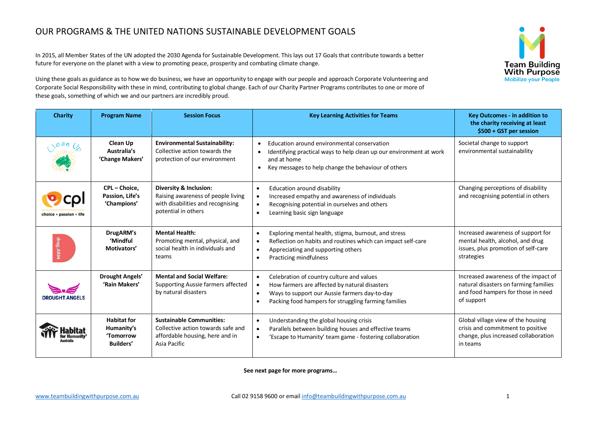## OUR PROGRAMS & THE UNITED NATIONS SUSTAINABLE DEVELOPMENT GOALS

In 2015, all Member States of the UN adopted the 2030 Agenda for Sustainable Development. This lays out 17 Goals that contribute towards a better future for everyone on the planet with a view to promoting peace, prosperity and combating climate change.

Using these goals as guidance as to how we do business, we have an opportunity to engage with our people and approach Corporate Volunteering and Corporate Social Responsibility with these in mind, contributing to global change. Each of our Charity Partner Programs contributes to one or more of these goals, something of which we and our partners are incredibly proud.



**See next page for more programs…**

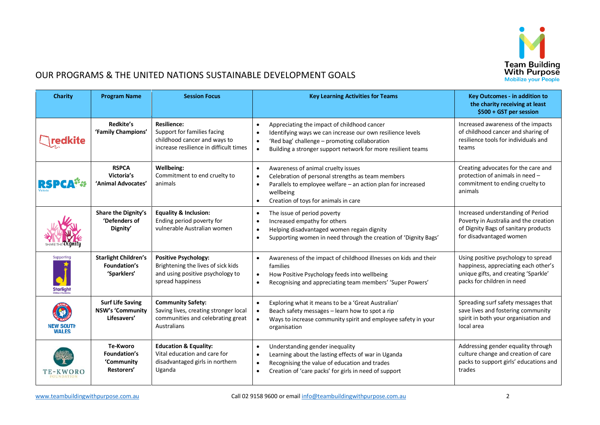

## OUR PROGRAMS & THE UNITED NATIONS SUSTAINABLE DEVELOPMENT GOALS

| <b>Charity</b>                   | <b>Program Name</b>                                               | <b>Session Focus</b>                                                                                                        | <b>Key Learning Activities for Teams</b>                                                                                                                                                                                   | <b>Key Outcomes - in addition to</b><br>the charity receiving at least<br>\$500 + GST per session                                                 |
|----------------------------------|-------------------------------------------------------------------|-----------------------------------------------------------------------------------------------------------------------------|----------------------------------------------------------------------------------------------------------------------------------------------------------------------------------------------------------------------------|---------------------------------------------------------------------------------------------------------------------------------------------------|
| redkite                          | <b>Redkite's</b><br>'Family Champions'                            | <b>Resilience:</b><br>Support for families facing<br>childhood cancer and ways to<br>increase resilience in difficult times | Appreciating the impact of childhood cancer<br>Identifying ways we can increase our own resilience levels<br>'Red bag' challenge - promoting collaboration<br>Building a stronger support network for more resilient teams | Increased awareness of the impacts<br>of childhood cancer and sharing of<br>resilience tools for individuals and<br>teams                         |
|                                  | <b>RSPCA</b><br>Victoria's<br>'Animal Advocates'                  | Wellbeing:<br>Commitment to end cruelty to<br>animals                                                                       | Awareness of animal cruelty issues<br>Celebration of personal strengths as team members<br>Parallels to employee welfare - an action plan for increased<br>wellbeing<br>Creation of toys for animals in care<br>$\bullet$  | Creating advocates for the care and<br>protection of animals in need -<br>commitment to ending cruelty to<br>animals                              |
|                                  | Share the Dignity's<br>'Defenders of<br>Dignity'                  | <b>Equality &amp; Inclusion:</b><br>Ending period poverty for<br>vulnerable Australian women                                | The issue of period poverty<br>Increased empathy for others<br>Helping disadvantaged women regain dignity<br>Supporting women in need through the creation of 'Dignity Bags'                                               | Increased understanding of Period<br>Poverty in Australia and the creation<br>of Dignity Bags of sanitary products<br>for disadvantaged women     |
| Supporting<br>Starlight          | <b>Starlight Children's</b><br>Foundation's<br>'Sparklers'        | <b>Positive Psychology:</b><br>Brightening the lives of sick kids<br>and using positive psychology to<br>spread happiness   | Awareness of the impact of childhood illnesses on kids and their<br>families<br>How Positive Psychology feeds into wellbeing<br>Recognising and appreciating team members' 'Super Powers'                                  | Using positive psychology to spread<br>happiness, appreciating each other's<br>unique gifts, and creating 'Sparkle'<br>packs for children in need |
| <b>NEW SOUTH</b><br><b>WALES</b> | <b>Surf Life Saving</b><br><b>NSW's 'Community</b><br>Lifesavers' | <b>Community Safety:</b><br>Saving lives, creating stronger local<br>communities and celebrating great<br>Australians       | Exploring what it means to be a 'Great Australian'<br>Beach safety messages - learn how to spot a rip<br>Ways to increase community spirit and employee safety in your<br>organisation                                     | Spreading surf safety messages that<br>save lives and fostering community<br>spirit in both your organisation and<br>local area                   |
|                                  | Te-Kworo<br>Foundation's<br>'Community<br>Restorers'              | <b>Education &amp; Equality:</b><br>Vital education and care for<br>disadvantaged girls in northern<br>Uganda               | Understanding gender inequality<br>Learning about the lasting effects of war in Uganda<br>$\bullet$<br>Recognising the value of education and trades<br>$\bullet$<br>Creation of 'care packs' for girls in need of support | Addressing gender equality through<br>culture change and creation of care<br>packs to support girls' educations and<br>trades                     |